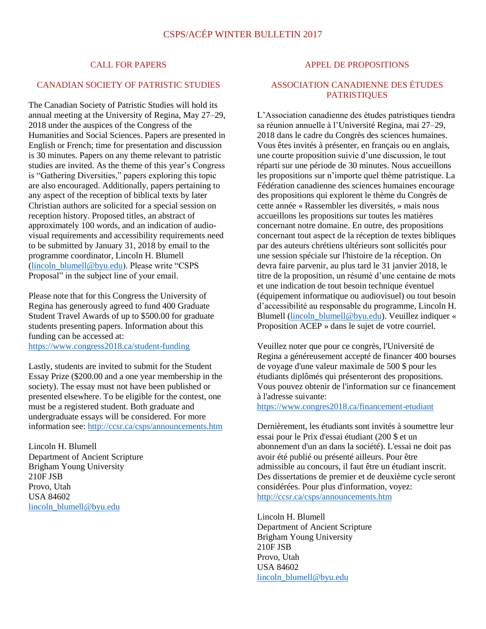#### CALL FOR PAPERS

### CANADIAN SOCIETY OF PATRISTIC STUDIES

The Canadian Society of Patristic Studies will hold its annual meeting at the University of Regina, May 27–29, 2018 under the auspices of the Congress of the Humanities and Social Sciences. Papers are presented in English or French; time for presentation and discussion is 30 minutes. Papers on any theme relevant to patristic studies are invited. As the theme of this year's Congress is "Gathering Diversities," papers exploring this topic are also encouraged. Additionally, papers pertaining to any aspect of the reception of biblical texts by later Christian authors are solicited for a special session on reception history. Proposed titles, an abstract of approximately 100 words, and an indication of audiovisual requirements and accessibility requirements need to be submitted by January 31, 2018 by email to the programme coordinator, Lincoln H. Blumell [\(lincoln\\_blumell@byu.edu\)](mailto:lincoln_blumell@byu.edu). Please write "CSPS Proposal" in the subject line of your email.

Please note that for this Congress the University of Regina has generously agreed to fund 400 Graduate Student Travel Awards of up to \$500.00 for graduate students presenting papers. Information about this funding can be accessed at:

<https://www.congress2018.ca/student-funding>

Lastly, students are invited to submit for the Student Essay Prize (\$200.00 and a one year membership in the society). The essay must not have been published or presented elsewhere. To be eligible for the contest, one must be a registered student. Both graduate and undergraduate essays will be considered. For more information see:<http://ccsr.ca/csps/announcements.htm>

Lincoln H. Blumell Department of Ancient Scripture Brigham Young University 210F JSB Provo, Utah USA 84602 [lincoln\\_blumell@byu.edu](mailto:lincoln_blumell@byu.edu)

#### APPEL DE PROPOSITIONS

### ASSOCIATION CANADIENNE DES ÉTUDES **PATRISTIQUES**

L'Association canadienne des études patristiques tiendra sa réunion annuelle à l'Université Regina, mai 27–29, 2018 dans le cadre du Congrès des sciences humaines. Vous êtes invités à présenter, en français ou en anglais, une courte proposition suivie d'une discussion, le tout réparti sur une période de 30 minutes. Nous accueillons les propositions sur n'importe quel thème patristique. La Fédération canadienne des sciences humaines encourage des propositions qui explorent le thème du Congrès de cette année « Rassembler les diversités, » mais nous accueillons les propositions sur toutes les matières concernant notre domaine. En outre, des propositions concernant tout aspect de la réception de textes bibliques par des auteurs chrétiens ultérieurs sont sollicités pour une session spéciale sur l'histoire de la réception. On devra faire parvenir, au plus tard le 31 janvier 2018, le titre de la proposition, un résumé d'une centaine de mots et une indication de tout besoin technique éventuel (équipement informatique ou audiovisuel) ou tout besoin d'accessibilité au responsable du programme, Lincoln H. Blumell [\(lincoln\\_blumell@byu.edu\)](mailto:lincoln_blumell@byu.edu). Veuillez indiquer « Proposition ACEP » dans le sujet de votre courriel.

Veuillez noter que pour ce congrès, l'Université de Regina a généreusement accepté de financer 400 bourses de voyage d'une valeur maximale de 500 \$ pour les étudiants diplômés qui présenteront des propositions. Vous pouvez obtenir de l'information sur ce financement à l'adresse suivante:

<https://www.congres2018.ca/financement-etudiant>

Dernièrement, les étudiants sont invités à soumettre leur essai pour le Prix d'essai étudiant (200 \$ et un abonnement d'un an dans la société). L'essai ne doit pas avoir été publié ou présenté ailleurs. Pour être admissible au concours, il faut être un étudiant inscrit. Des dissertations de premier et de deuxième cycle seront considérées. Pour plus d'information, voyez: <http://ccsr.ca/csps/announcements.htm>

Lincoln H. Blumell Department of Ancient Scripture Brigham Young University 210F JSB Provo, Utah USA 84602 [lincoln\\_blumell@byu.edu](mailto:lincoln_blumell@byu.edu)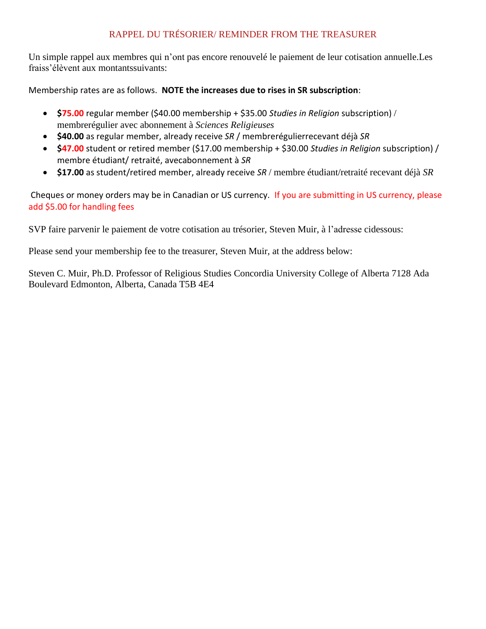## RAPPEL DU TRÉSORIER/ REMINDER FROM THE TREASURER

Un simple rappel aux membres qui n'ont pas encore renouvelé le paiement de leur cotisation annuelle.Les fraiss'élèvent aux montantssuivants:

Membership rates are as follows. **NOTE the increases due to rises in SR subscription**:

- **\$75.00** regular member (\$40.00 membership + \$35.00 *Studies in Religion* subscription) / membrerégulier avec abonnement à *Sciences Religieuses*
- **\$40.00** as regular member, already receive *SR* / membrerégulierrecevant déjà *SR*
- **\$47.00** student or retired member (\$17.00 membership + \$30.00 *Studies in Religion* subscription) / membre étudiant/ retraité, avecabonnement à *SR*
- **\$17.00** as student/retired member, already receive *SR* / membre étudiant/retraité recevant déjà *SR*

Cheques or money orders may be in Canadian or US currency. If you are submitting in US currency, please add \$5.00 for handling fees

SVP faire parvenir le paiement de votre cotisation au trésorier, Steven Muir, à l'adresse cidessous:

Please send your membership fee to the treasurer, Steven Muir, at the address below:

Steven C. Muir, Ph.D. Professor of Religious Studies Concordia University College of Alberta 7128 Ada Boulevard Edmonton, Alberta, Canada T5B 4E4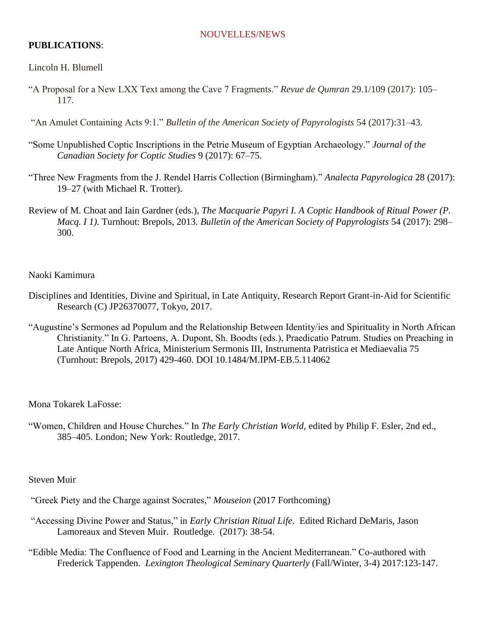### NOUVELLES/NEWS

### **PUBLICATIONS**:

### Lincoln H. Blumell

"A Proposal for a New LXX Text among the Cave 7 Fragments." *Revue de Qumran* 29.1/109 (2017): 105– 117.

"An Amulet Containing Acts 9:1." *Bulletin of the American Society of Papyrologists* 54 (2017):31–43.

- "Some Unpublished Coptic Inscriptions in the Petrie Museum of Egyptian Archaeology." *Journal of the Canadian Society for Coptic Studies* 9 (2017): 67–75.
- "Three New Fragments from the J. Rendel Harris Collection (Birmingham)." *Analecta Papyrologica* 28 (2017): 19–27 (with Michael R. Trotter).
- Review of M. Choat and Iain Gardner (eds.), *The Macquarie Papyri I. A Coptic Handbook of Ritual Power (P. Macq. I 1)*. Turnhout: Brepols, 2013. *Bulletin of the American Society of Papyrologists* 54 (2017): 298– 300.

### Naoki Kamimura

- Disciplines and Identities, Divine and Spiritual, in Late Antiquity, Research Report Grant-in-Aid for Scientific Research (C) JP26370077, Tokyo, 2017.
- "Augustine's Sermones ad Populum and the Relationship Between Identity/ies and Spirituality in North African Christianity." In G. Partoens, A. Dupont, Sh. Boodts (eds.), Praedicatio Patrum. Studies on Preaching in Late Antique North Africa, Ministerium Sermonis III, Instrumenta Patristica et Mediaevalia 75 (Turnhout: Brepols, 2017) 429-460. DOI 10.1484/M.IPM-EB.5.114062

Mona Tokarek LaFosse:

"Women, Children and House Churches." In *The Early Christian World*, edited by Philip F. Esler, 2nd ed., 385–405. London; New York: Routledge, 2017.

Steven Muir

"Greek Piety and the Charge against Socrates," *Mouseion* (2017 Forthcoming)

- "Accessing Divine Power and Status," in *Early Christian Ritual Life.* Edited Richard DeMaris, Jason Lamoreaux and Steven Muir. Routledge. (2017): 38-54.
- "Edible Media: The Confluence of Food and Learning in the Ancient Mediterranean." Co-authored with Frederick Tappenden. *Lexington Theological Seminary Quarterly* (Fall/Winter, 3-4) 2017:123-147.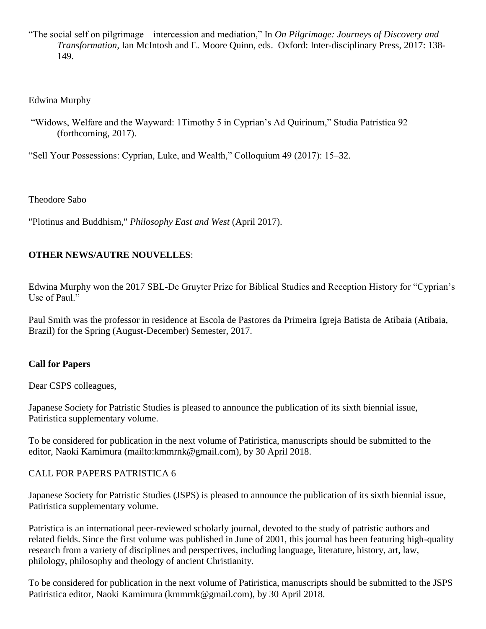"The social self on pilgrimage – intercession and mediation," In *On Pilgrimage: Journeys of Discovery and Transformation,* Ian McIntosh and E. Moore Quinn, eds. Oxford: Inter-disciplinary Press, 2017: 138- 149.

## Edwina Murphy

"Widows, Welfare and the Wayward: 1Timothy 5 in Cyprian's Ad Quirinum," Studia Patristica 92 (forthcoming, 2017).

"Sell Your Possessions: Cyprian, Luke, and Wealth," Colloquium 49 (2017): 15–32.

Theodore Sabo

"Plotinus and Buddhism," *Philosophy East and West* (April 2017).

# **OTHER NEWS/AUTRE NOUVELLES**:

Edwina Murphy won the 2017 SBL-De Gruyter Prize for Biblical Studies and Reception History for "Cyprian's Use of Paul."

Paul Smith was the professor in residence at Escola de Pastores da Primeira Igreja Batista de Atibaia (Atibaia, Brazil) for the Spring (August-December) Semester, 2017.

## **Call for Papers**

Dear CSPS colleagues,

Japanese Society for Patristic Studies is pleased to announce the publication of its sixth biennial issue, Patiristica supplementary volume.

To be considered for publication in the next volume of Patiristica, manuscripts should be submitted to the editor, Naoki Kamimura (mailto:kmmrnk@gmail.com), by 30 April 2018.

## CALL FOR PAPERS PATRISTICA 6

Japanese Society for Patristic Studies (JSPS) is pleased to announce the publication of its sixth biennial issue, Patiristica supplementary volume.

Patristica is an international peer-reviewed scholarly journal, devoted to the study of patristic authors and related fields. Since the first volume was published in June of 2001, this journal has been featuring high-quality research from a variety of disciplines and perspectives, including language, literature, history, art, law, philology, philosophy and theology of ancient Christianity.

To be considered for publication in the next volume of Patiristica, manuscripts should be submitted to the JSPS Patiristica editor, Naoki Kamimura (kmmrnk@gmail.com), by 30 April 2018.